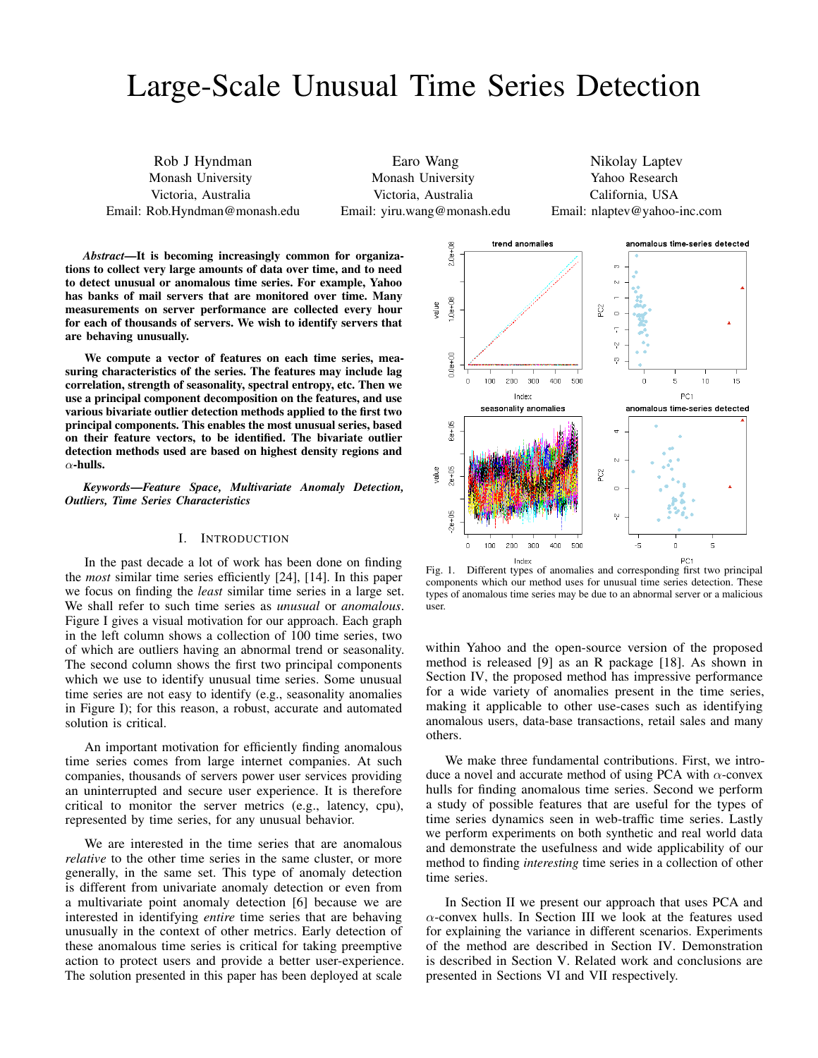# Large-Scale Unusual Time Series Detection

Rob J Hyndman Monash University Victoria, Australia Email: Rob.Hyndman@monash.edu

Earo Wang Monash University Victoria, Australia Email: yiru.wang@monash.edu

Nikolay Laptev Yahoo Research California, USA Email: nlaptev@yahoo-inc.com

*Abstract*—It is becoming increasingly common for organizations to collect very large amounts of data over time, and to need to detect unusual or anomalous time series. For example, Yahoo has banks of mail servers that are monitored over time. Many measurements on server performance are collected every hour for each of thousands of servers. We wish to identify servers that are behaving unusually.

We compute a vector of features on each time series, measuring characteristics of the series. The features may include lag correlation, strength of seasonality, spectral entropy, etc. Then we use a principal component decomposition on the features, and use various bivariate outlier detection methods applied to the first two principal components. This enables the most unusual series, based on their feature vectors, to be identified. The bivariate outlier detection methods used are based on highest density regions and  $\alpha$ -hulls.

*Keywords*—*Feature Space, Multivariate Anomaly Detection, Outliers, Time Series Characteristics*

#### I. INTRODUCTION

In the past decade a lot of work has been done on finding the *most* similar time series efficiently [24], [14]. In this paper we focus on finding the *least* similar time series in a large set. We shall refer to such time series as *unusual* or *anomalous*. Figure I gives a visual motivation for our approach. Each graph in the left column shows a collection of 100 time series, two of which are outliers having an abnormal trend or seasonality. The second column shows the first two principal components which we use to identify unusual time series. Some unusual time series are not easy to identify (e.g., seasonality anomalies in Figure I); for this reason, a robust, accurate and automated solution is critical.

An important motivation for efficiently finding anomalous time series comes from large internet companies. At such companies, thousands of servers power user services providing an uninterrupted and secure user experience. It is therefore critical to monitor the server metrics (e.g., latency, cpu), represented by time series, for any unusual behavior.

We are interested in the time series that are anomalous *relative* to the other time series in the same cluster, or more generally, in the same set. This type of anomaly detection is different from univariate anomaly detection or even from a multivariate point anomaly detection [6] because we are interested in identifying *entire* time series that are behaving unusually in the context of other metrics. Early detection of these anomalous time series is critical for taking preemptive action to protect users and provide a better user-experience. The solution presented in this paper has been deployed at scale



Fig. 1. Different types of anomalies and corresponding first two principal components which our method uses for unusual time series detection. These types of anomalous time series may be due to an abnormal server or a malicious user.

within Yahoo and the open-source version of the proposed method is released [9] as an R package [18]. As shown in Section IV, the proposed method has impressive performance for a wide variety of anomalies present in the time series, making it applicable to other use-cases such as identifying anomalous users, data-base transactions, retail sales and many others.

We make three fundamental contributions. First, we introduce a novel and accurate method of using PCA with  $\alpha$ -convex hulls for finding anomalous time series. Second we perform a study of possible features that are useful for the types of time series dynamics seen in web-traffic time series. Lastly we perform experiments on both synthetic and real world data and demonstrate the usefulness and wide applicability of our method to finding *interesting* time series in a collection of other time series.

In Section II we present our approach that uses PCA and  $\alpha$ -convex hulls. In Section III we look at the features used for explaining the variance in different scenarios. Experiments of the method are described in Section IV. Demonstration is described in Section V. Related work and conclusions are presented in Sections VI and VII respectively.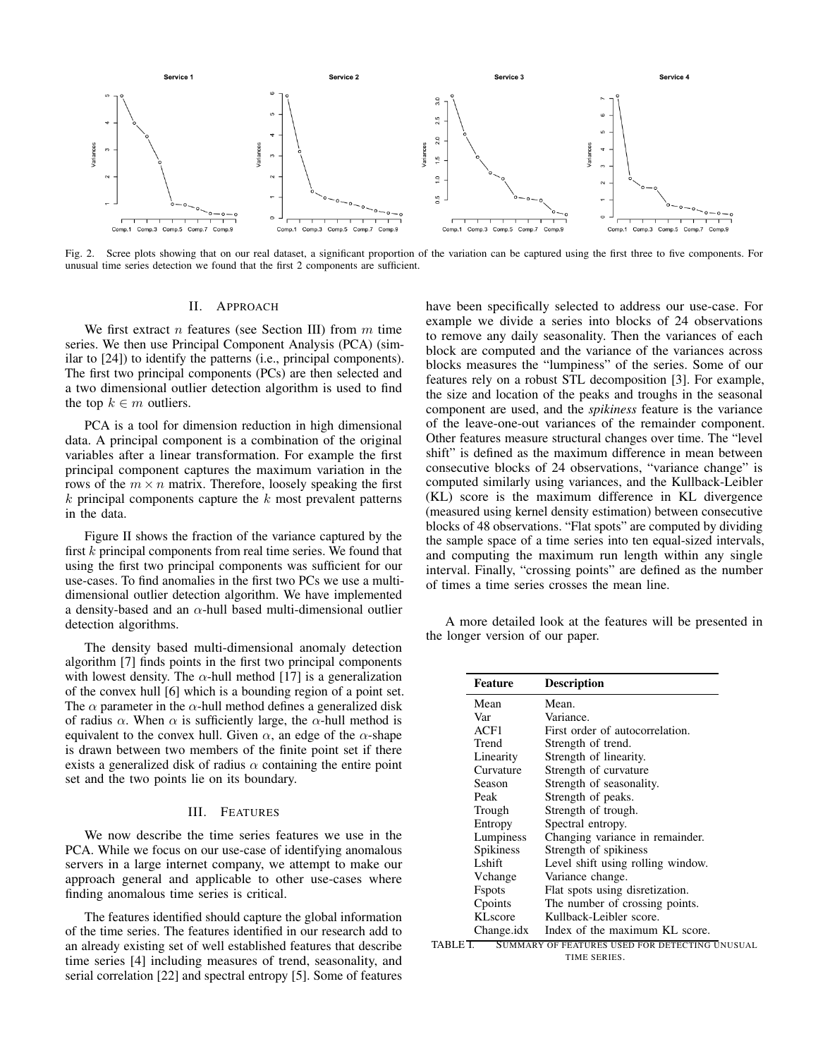

Fig. 2. Scree plots showing that on our real dataset, a significant proportion of the variation can be captured using the first three to five components. For unusual time series detection we found that the first 2 components are sufficient.

# II. APPROACH

We first extract  $n$  features (see Section III) from  $m$  time series. We then use Principal Component Analysis (PCA) (similar to [24]) to identify the patterns (i.e., principal components). The first two principal components (PCs) are then selected and a two dimensional outlier detection algorithm is used to find the top  $k \in m$  outliers.

PCA is a tool for dimension reduction in high dimensional data. A principal component is a combination of the original variables after a linear transformation. For example the first principal component captures the maximum variation in the rows of the  $m \times n$  matrix. Therefore, loosely speaking the first  $k$  principal components capture the  $k$  most prevalent patterns in the data.

Figure II shows the fraction of the variance captured by the first  $k$  principal components from real time series. We found that using the first two principal components was sufficient for our use-cases. To find anomalies in the first two PCs we use a multidimensional outlier detection algorithm. We have implemented a density-based and an  $\alpha$ -hull based multi-dimensional outlier detection algorithms.

The density based multi-dimensional anomaly detection algorithm [7] finds points in the first two principal components with lowest density. The  $\alpha$ -hull method [17] is a generalization of the convex hull [6] which is a bounding region of a point set. The  $\alpha$  parameter in the  $\alpha$ -hull method defines a generalized disk of radius  $\alpha$ . When  $\alpha$  is sufficiently large, the  $\alpha$ -hull method is equivalent to the convex hull. Given  $\alpha$ , an edge of the  $\alpha$ -shape is drawn between two members of the finite point set if there exists a generalized disk of radius  $\alpha$  containing the entire point set and the two points lie on its boundary.

#### III. FEATURES

We now describe the time series features we use in the PCA. While we focus on our use-case of identifying anomalous servers in a large internet company, we attempt to make our approach general and applicable to other use-cases where finding anomalous time series is critical.

The features identified should capture the global information of the time series. The features identified in our research add to an already existing set of well established features that describe time series [4] including measures of trend, seasonality, and serial correlation [22] and spectral entropy [5]. Some of features

have been specifically selected to address our use-case. For example we divide a series into blocks of 24 observations to remove any daily seasonality. Then the variances of each block are computed and the variance of the variances across blocks measures the "lumpiness" of the series. Some of our features rely on a robust STL decomposition [3]. For example, the size and location of the peaks and troughs in the seasonal component are used, and the *spikiness* feature is the variance of the leave-one-out variances of the remainder component. Other features measure structural changes over time. The "level shift" is defined as the maximum difference in mean between consecutive blocks of 24 observations, "variance change" is computed similarly using variances, and the Kullback-Leibler (KL) score is the maximum difference in KL divergence (measured using kernel density estimation) between consecutive blocks of 48 observations. "Flat spots" are computed by dividing the sample space of a time series into ten equal-sized intervals, and computing the maximum run length within any single interval. Finally, "crossing points" are defined as the number of times a time series crosses the mean line.

A more detailed look at the features will be presented in the longer version of our paper.

| <b>Description</b>                             |
|------------------------------------------------|
| Mean.                                          |
| Variance.                                      |
| First order of autocorrelation.                |
| Strength of trend.                             |
| Strength of linearity.                         |
| Strength of curvature                          |
| Strength of seasonality.                       |
| Strength of peaks.                             |
| Strength of trough.                            |
| Spectral entropy.                              |
| Changing variance in remainder.                |
| Strength of spikiness                          |
| Level shift using rolling window.              |
| Variance change.                               |
| Flat spots using disretization.                |
| The number of crossing points.                 |
| Kullback-Leibler score.                        |
| Index of the maximum KL score.<br>Change.idx   |
| SUMMARY OF FEATURES USED FOR DETECTING UNUSUAL |
|                                                |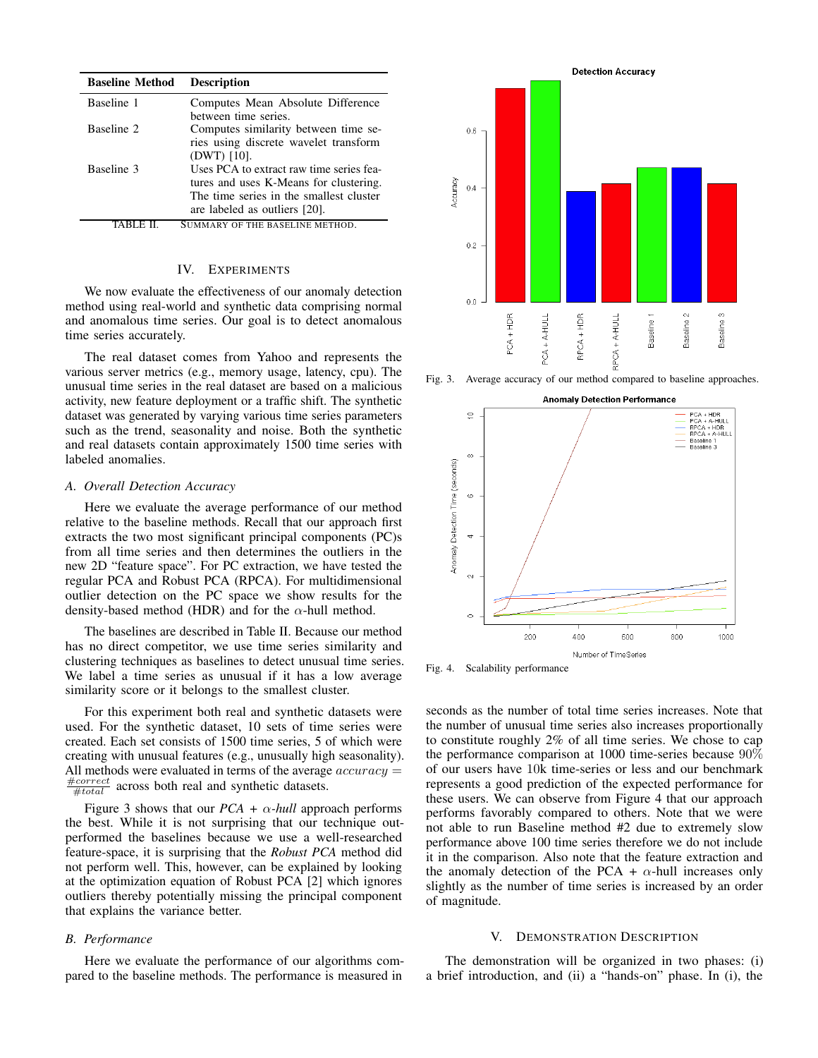| <b>Baseline Method</b> | <b>Description</b>                                                                                                                                             |
|------------------------|----------------------------------------------------------------------------------------------------------------------------------------------------------------|
| Baseline 1             | Computes Mean Absolute Difference<br>between time series.                                                                                                      |
| Baseline 2             | Computes similarity between time se-<br>ries using discrete wavelet transform<br>$(DWT)$ [10].                                                                 |
| Baseline 3             | Uses PCA to extract raw time series fea-<br>tures and uses K-Means for clustering.<br>The time series in the smallest cluster<br>are labeled as outliers [20]. |
|                        | SUMMARY OF THE BASELINE METHOD.                                                                                                                                |

## IV. EXPERIMENTS

We now evaluate the effectiveness of our anomaly detection method using real-world and synthetic data comprising normal and anomalous time series. Our goal is to detect anomalous time series accurately.

The real dataset comes from Yahoo and represents the various server metrics (e.g., memory usage, latency, cpu). The unusual time series in the real dataset are based on a malicious activity, new feature deployment or a traffic shift. The synthetic dataset was generated by varying various time series parameters such as the trend, seasonality and noise. Both the synthetic and real datasets contain approximately 1500 time series with labeled anomalies.

#### *A. Overall Detection Accuracy*

Here we evaluate the average performance of our method relative to the baseline methods. Recall that our approach first extracts the two most significant principal components (PC)s from all time series and then determines the outliers in the new 2D "feature space". For PC extraction, we have tested the regular PCA and Robust PCA (RPCA). For multidimensional outlier detection on the PC space we show results for the density-based method (HDR) and for the  $\alpha$ -hull method.

The baselines are described in Table II. Because our method has no direct competitor, we use time series similarity and clustering techniques as baselines to detect unusual time series. We label a time series as unusual if it has a low average similarity score or it belongs to the smallest cluster.

For this experiment both real and synthetic datasets were used. For the synthetic dataset, 10 sets of time series were created. Each set consists of 1500 time series, 5 of which were creating with unusual features (e.g., unusually high seasonality). All methods were evaluated in terms of the average  $accuracy =$  $\frac{\text{\#correct}}{\text{\#total}}$  across both real and synthetic datasets.

Figure 3 shows that our  $PCA + \alpha$ -hull approach performs the best. While it is not surprising that our technique outperformed the baselines because we use a well-researched feature-space, it is surprising that the *Robust PCA* method did not perform well. This, however, can be explained by looking at the optimization equation of Robust PCA [2] which ignores outliers thereby potentially missing the principal component that explains the variance better.

### *B. Performance*

Here we evaluate the performance of our algorithms compared to the baseline methods. The performance is measured in



Fig. 3. Average accuracy of our method compared to baseline approaches.

**Anomaly Detection Performance** 



Fig. 4. Scalability performance

seconds as the number of total time series increases. Note that the number of unusual time series also increases proportionally to constitute roughly 2% of all time series. We chose to cap the performance comparison at 1000 time-series because 90% of our users have 10k time-series or less and our benchmark represents a good prediction of the expected performance for these users. We can observe from Figure 4 that our approach performs favorably compared to others. Note that we were not able to run Baseline method #2 due to extremely slow performance above 100 time series therefore we do not include it in the comparison. Also note that the feature extraction and the anomaly detection of the PCA +  $\alpha$ -hull increases only slightly as the number of time series is increased by an order of magnitude.

#### V. DEMONSTRATION DESCRIPTION

The demonstration will be organized in two phases: (i) a brief introduction, and (ii) a "hands-on" phase. In (i), the